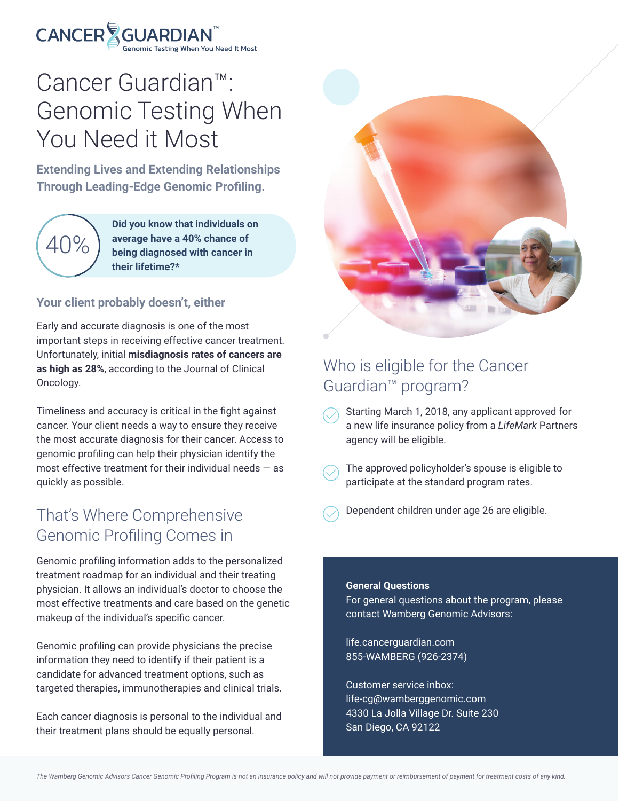# $\mathsf{CANCER}\biglessapprox_{\mathsf{Genomic\; Testing\;When\; You\;} N}^{\Longleftrightarrow}$

## Cancer Guardian™: Genomic Testing When You Need it Most

**Extending Lives and Extending Relationships Through Leading-Edge Genomic Profiling.**



**Did you know that individuals on average have a 40% chance of being diagnosed with cancer in their lifetime?\***

#### **Your client probably doesn't, either**

Early and accurate diagnosis is one of the most important steps in receiving effective cancer treatment. Unfortunately, initial **misdiagnosis rates of cancers are as high as 28%**, according to the Journal of Clinical Oncology.

Timeliness and accuracy is critical in the fight against cancer. Your client needs a way to ensure they receive the most accurate diagnosis for their cancer. Access to genomic profiling can help their physician identify the most effective treatment for their individual needs  $-$  as quickly as possible.

### That's Where Comprehensive Genomic Profiling Comes in

Genomic profiling information adds to the personalized treatment roadmap for an individual and their treating physician. It allows an individual's doctor to choose the most effective treatments and care based on the genetic makeup of the individual's specific cancer.

Genomic profiling can provide physicians the precise information they need to identify if their patient is a candidate for advanced treatment options, such as targeted therapies, immunotherapies and clinical trials.

Each cancer diagnosis is personal to the individual and their treatment plans should be equally personal.



### Who is eligible for the Cancer Guardian™ program?

- Starting March 1, 2018, any applicant approved for a new life insurance policy from a *LifeMark* Partners agency will be eligible.
- The approved policyholder's spouse is eligible to participate at the standard program rates.
- Dependent children under age 26 are eligible.

#### **General Questions**

For general questions about the program, please contact Wamberg Genomic Advisors:

life.cancerguardian.com 855-WAMBERG (926-2374)

Customer service inbox: life-cg@wamberggenomic.com 4330 La Jolla Village Dr. Suite 230 San Diego, CA 92122